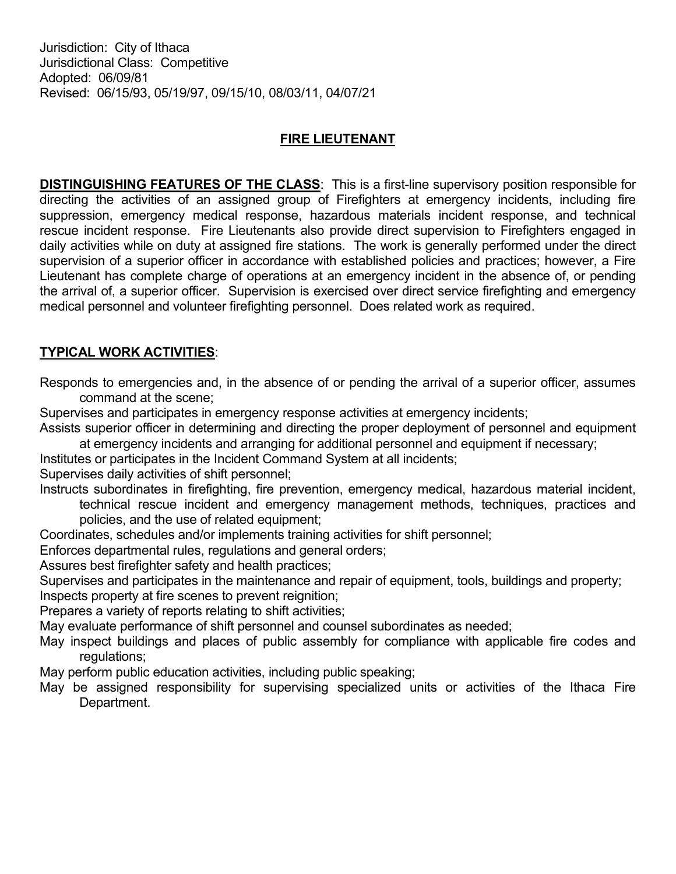Jurisdiction: City of Ithaca Jurisdictional Class: Competitive Adopted: 06/09/81 Revised: 06/15/93, 05/19/97, 09/15/10, 08/03/11, 04/07/21

## FIRE LIEUTENANT

DISTINGUISHING FEATURES OF THE CLASS: This is a first-line supervisory position responsible for directing the activities of an assigned group of Firefighters at emergency incidents, including fire suppression, emergency medical response, hazardous materials incident response, and technical rescue incident response. Fire Lieutenants also provide direct supervision to Firefighters engaged in daily activities while on duty at assigned fire stations. The work is generally performed under the direct supervision of a superior officer in accordance with established policies and practices; however, a Fire Lieutenant has complete charge of operations at an emergency incident in the absence of, or pending the arrival of, a superior officer. Supervision is exercised over direct service firefighting and emergency medical personnel and volunteer firefighting personnel. Does related work as required.

## TYPICAL WORK ACTIVITIES:

Responds to emergencies and, in the absence of or pending the arrival of a superior officer, assumes command at the scene;

Supervises and participates in emergency response activities at emergency incidents;

Assists superior officer in determining and directing the proper deployment of personnel and equipment at emergency incidents and arranging for additional personnel and equipment if necessary;

Institutes or participates in the Incident Command System at all incidents;

Supervises daily activities of shift personnel;

Instructs subordinates in firefighting, fire prevention, emergency medical, hazardous material incident, technical rescue incident and emergency management methods, techniques, practices and policies, and the use of related equipment;

Coordinates, schedules and/or implements training activities for shift personnel;

Enforces departmental rules, regulations and general orders;

Assures best firefighter safety and health practices;

Supervises and participates in the maintenance and repair of equipment, tools, buildings and property; Inspects property at fire scenes to prevent reignition;

Prepares a variety of reports relating to shift activities;

May evaluate performance of shift personnel and counsel subordinates as needed;

- May inspect buildings and places of public assembly for compliance with applicable fire codes and regulations;
- May perform public education activities, including public speaking;
- May be assigned responsibility for supervising specialized units or activities of the Ithaca Fire Department.